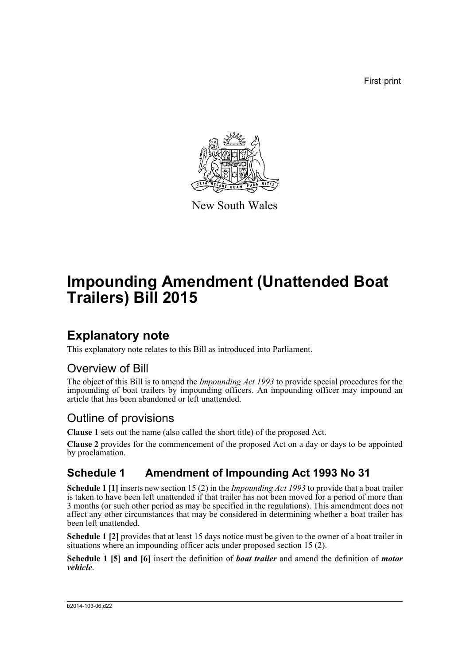First print



New South Wales

# **Impounding Amendment (Unattended Boat Trailers) Bill 2015**

## **Explanatory note**

This explanatory note relates to this Bill as introduced into Parliament.

#### Overview of Bill

The object of this Bill is to amend the *Impounding Act 1993* to provide special procedures for the impounding of boat trailers by impounding officers. An impounding officer may impound an article that has been abandoned or left unattended.

#### Outline of provisions

**Clause 1** sets out the name (also called the short title) of the proposed Act.

**Clause 2** provides for the commencement of the proposed Act on a day or days to be appointed by proclamation.

#### **Schedule 1 Amendment of Impounding Act 1993 No 31**

**Schedule 1 [1]** inserts new section 15 (2) in the *Impounding Act 1993* to provide that a boat trailer is taken to have been left unattended if that trailer has not been moved for a period of more than 3 months (or such other period as may be specified in the regulations). This amendment does not affect any other circumstances that may be considered in determining whether a boat trailer has been left unattended.

**Schedule 1 [2]** provides that at least 15 days notice must be given to the owner of a boat trailer in situations where an impounding officer acts under proposed section 15 (2).

**Schedule 1 [5] and [6]** insert the definition of *boat trailer* and amend the definition of *motor vehicle*.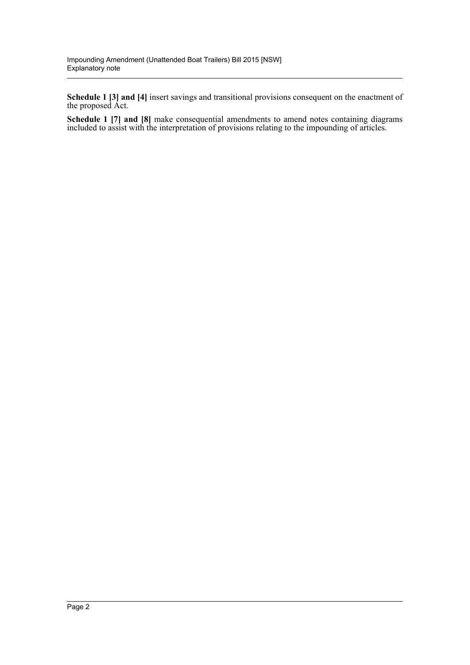**Schedule 1 [3] and [4]** insert savings and transitional provisions consequent on the enactment of the proposed Act.

**Schedule 1 [7] and [8]** make consequential amendments to amend notes containing diagrams included to assist with the interpretation of provisions relating to the impounding of articles.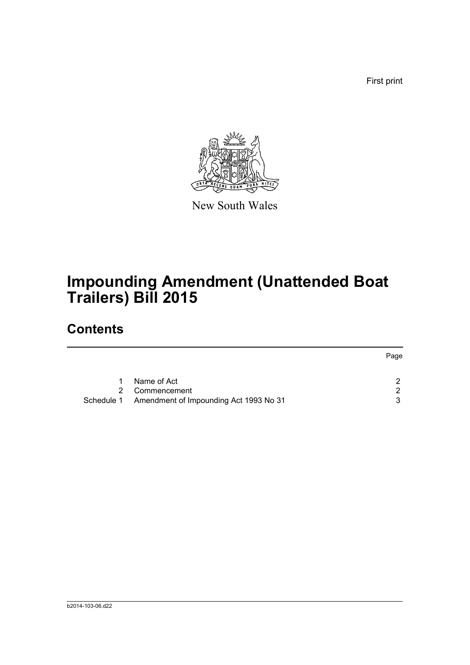First print



New South Wales

## **Impounding Amendment (Unattended Boat Trailers) Bill 2015**

### **Contents**

|                                                   | Page |
|---------------------------------------------------|------|
| Name of Act                                       | ົ    |
| 2 Commencement                                    | ົ    |
| Schedule 1 Amendment of Impounding Act 1993 No 31 | ર    |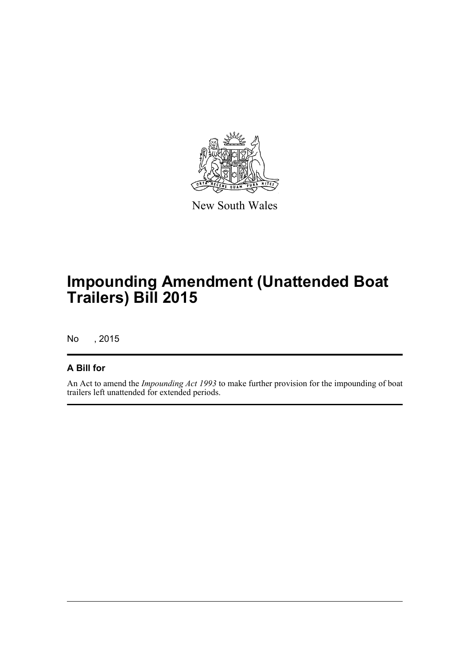

New South Wales

## **Impounding Amendment (Unattended Boat Trailers) Bill 2015**

No , 2015

#### **A Bill for**

An Act to amend the *Impounding Act 1993* to make further provision for the impounding of boat trailers left unattended for extended periods.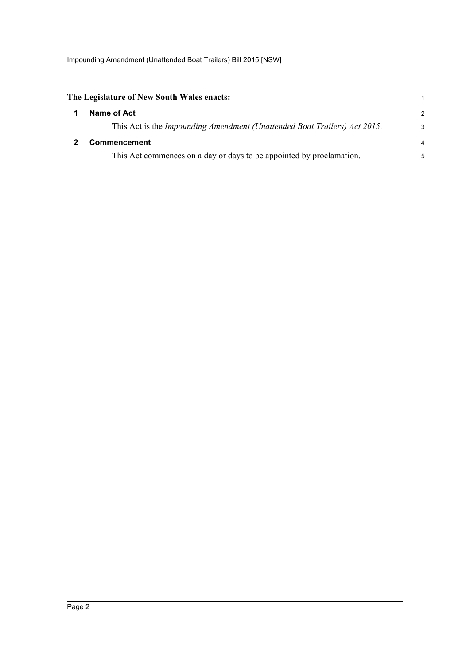Impounding Amendment (Unattended Boat Trailers) Bill 2015 [NSW]

<span id="page-4-1"></span><span id="page-4-0"></span>

| The Legislature of New South Wales enacts:                                |                |
|---------------------------------------------------------------------------|----------------|
| Name of Act                                                               | 2              |
| This Act is the Impounding Amendment (Unattended Boat Trailers) Act 2015. | -3             |
| <b>Commencement</b>                                                       | $\overline{4}$ |
| This Act commences on a day or days to be appointed by proclamation.      | 5              |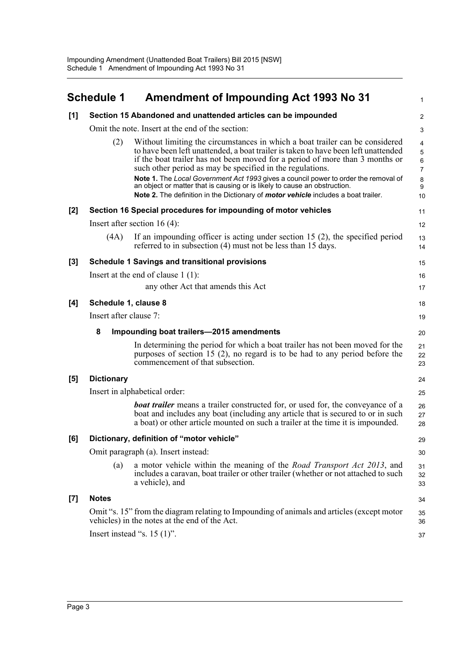<span id="page-5-0"></span>

|       | <b>Schedule 1</b>                   | <b>Amendment of Impounding Act 1993 No 31</b>                                                                                                                                                                                                                                                                                                                                                                                                                                                                                                                             | $\mathbf{1}$                                                                                             |
|-------|-------------------------------------|---------------------------------------------------------------------------------------------------------------------------------------------------------------------------------------------------------------------------------------------------------------------------------------------------------------------------------------------------------------------------------------------------------------------------------------------------------------------------------------------------------------------------------------------------------------------------|----------------------------------------------------------------------------------------------------------|
| [1]   |                                     | Section 15 Abandoned and unattended articles can be impounded                                                                                                                                                                                                                                                                                                                                                                                                                                                                                                             | $\overline{2}$                                                                                           |
|       |                                     | Omit the note. Insert at the end of the section:                                                                                                                                                                                                                                                                                                                                                                                                                                                                                                                          | 3                                                                                                        |
|       | (2)                                 | Without limiting the circumstances in which a boat trailer can be considered<br>to have been left unattended, a boat trailer is taken to have been left unattended<br>if the boat trailer has not been moved for a period of more than 3 months or<br>such other period as may be specified in the regulations.<br>Note 1. The Local Government Act 1993 gives a council power to order the removal of<br>an object or matter that is causing or is likely to cause an obstruction.<br>Note 2. The definition in the Dictionary of motor vehicle includes a boat trailer. | $\overline{\mathbf{4}}$<br>$\mathbf 5$<br>$\,6\,$<br>$\overline{7}$<br>$\bf 8$<br>$\boldsymbol{9}$<br>10 |
| [2]   |                                     | Section 16 Special procedures for impounding of motor vehicles                                                                                                                                                                                                                                                                                                                                                                                                                                                                                                            | 11                                                                                                       |
|       |                                     | Insert after section 16 $(4)$ :                                                                                                                                                                                                                                                                                                                                                                                                                                                                                                                                           | 12                                                                                                       |
|       | (4A)                                | If an impounding officer is acting under section 15 $(2)$ , the specified period<br>referred to in subsection (4) must not be less than 15 days.                                                                                                                                                                                                                                                                                                                                                                                                                          | 13<br>14                                                                                                 |
| [3]   |                                     | <b>Schedule 1 Savings and transitional provisions</b>                                                                                                                                                                                                                                                                                                                                                                                                                                                                                                                     | 15                                                                                                       |
|       |                                     | Insert at the end of clause $1(1)$ :                                                                                                                                                                                                                                                                                                                                                                                                                                                                                                                                      | 16                                                                                                       |
|       |                                     | any other Act that amends this Act                                                                                                                                                                                                                                                                                                                                                                                                                                                                                                                                        | 17                                                                                                       |
| [4]   | Schedule 1, clause 8                |                                                                                                                                                                                                                                                                                                                                                                                                                                                                                                                                                                           | 18                                                                                                       |
|       | Insert after clause 7:              |                                                                                                                                                                                                                                                                                                                                                                                                                                                                                                                                                                           | 19                                                                                                       |
|       | 8                                   | Impounding boat trailers-2015 amendments                                                                                                                                                                                                                                                                                                                                                                                                                                                                                                                                  | 20                                                                                                       |
|       |                                     | In determining the period for which a boat trailer has not been moved for the<br>purposes of section 15 $(2)$ , no regard is to be had to any period before the<br>commencement of that subsection.                                                                                                                                                                                                                                                                                                                                                                       | 21<br>22<br>23                                                                                           |
| [5]   | <b>Dictionary</b>                   |                                                                                                                                                                                                                                                                                                                                                                                                                                                                                                                                                                           | 24                                                                                                       |
|       |                                     | Insert in alphabetical order:                                                                                                                                                                                                                                                                                                                                                                                                                                                                                                                                             | 25                                                                                                       |
|       |                                     | <b>boat trailer</b> means a trailer constructed for, or used for, the conveyance of a<br>boat and includes any boat (including any article that is secured to or in such<br>a boat) or other article mounted on such a trailer at the time it is impounded.                                                                                                                                                                                                                                                                                                               | 26<br>27<br>28                                                                                           |
| [6]   |                                     | Dictionary, definition of "motor vehicle"                                                                                                                                                                                                                                                                                                                                                                                                                                                                                                                                 | 29                                                                                                       |
|       | Omit paragraph (a). Insert instead: |                                                                                                                                                                                                                                                                                                                                                                                                                                                                                                                                                                           | 30                                                                                                       |
|       | (a)                                 | a motor vehicle within the meaning of the <i>Road Transport Act 2013</i> , and<br>includes a caravan, boat trailer or other trailer (whether or not attached to such<br>a vehicle), and                                                                                                                                                                                                                                                                                                                                                                                   | 31<br>32<br>33                                                                                           |
| $[7]$ | <b>Notes</b>                        |                                                                                                                                                                                                                                                                                                                                                                                                                                                                                                                                                                           | 34                                                                                                       |
|       |                                     | Omit "s. 15" from the diagram relating to Impounding of animals and articles (except motor<br>vehicles) in the notes at the end of the Act.                                                                                                                                                                                                                                                                                                                                                                                                                               | 35<br>36                                                                                                 |
|       |                                     | Insert instead "s. $15(1)$ ".                                                                                                                                                                                                                                                                                                                                                                                                                                                                                                                                             | 37                                                                                                       |